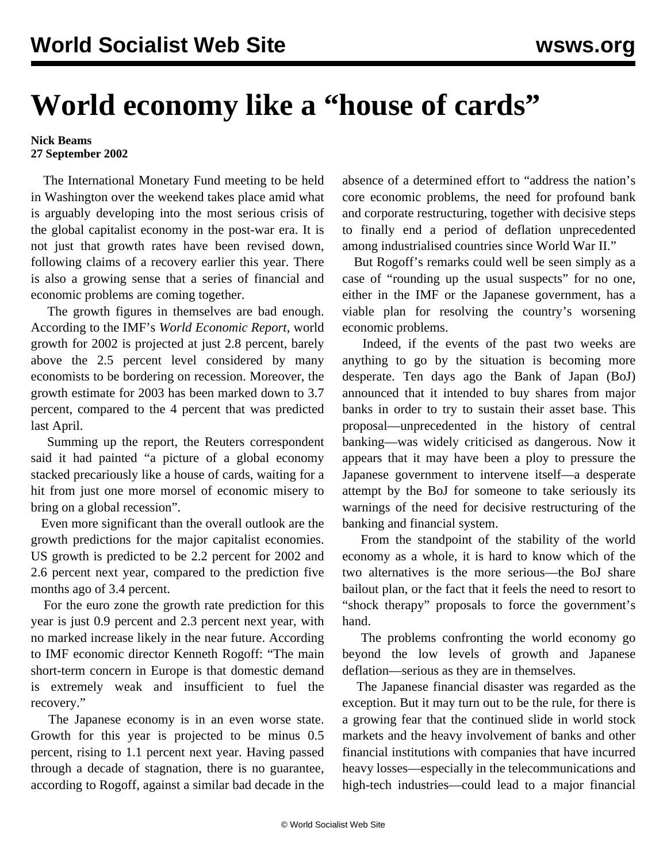## **World economy like a "house of cards"**

## **Nick Beams 27 September 2002**

 The International Monetary Fund meeting to be held in Washington over the weekend takes place amid what is arguably developing into the most serious crisis of the global capitalist economy in the post-war era. It is not just that growth rates have been revised down, following claims of a recovery earlier this year. There is also a growing sense that a series of financial and economic problems are coming together.

 The growth figures in themselves are bad enough. According to the IMF's *World Economic Report*, world growth for 2002 is projected at just 2.8 percent, barely above the 2.5 percent level considered by many economists to be bordering on recession. Moreover, the growth estimate for 2003 has been marked down to 3.7 percent, compared to the 4 percent that was predicted last April.

 Summing up the report, the Reuters correspondent said it had painted "a picture of a global economy stacked precariously like a house of cards, waiting for a hit from just one more morsel of economic misery to bring on a global recession".

 Even more significant than the overall outlook are the growth predictions for the major capitalist economies. US growth is predicted to be 2.2 percent for 2002 and 2.6 percent next year, compared to the prediction five months ago of 3.4 percent.

 For the euro zone the growth rate prediction for this year is just 0.9 percent and 2.3 percent next year, with no marked increase likely in the near future. According to IMF economic director Kenneth Rogoff: "The main short-term concern in Europe is that domestic demand is extremely weak and insufficient to fuel the recovery."

 The Japanese economy is in an even worse state. Growth for this year is projected to be minus 0.5 percent, rising to 1.1 percent next year. Having passed through a decade of stagnation, there is no guarantee, according to Rogoff, against a similar bad decade in the absence of a determined effort to "address the nation's core economic problems, the need for profound bank and corporate restructuring, together with decisive steps to finally end a period of deflation unprecedented among industrialised countries since World War II."

 But Rogoff's remarks could well be seen simply as a case of "rounding up the usual suspects" for no one, either in the IMF or the Japanese government, has a viable plan for resolving the country's worsening economic problems.

 Indeed, if the events of the past two weeks are anything to go by the situation is becoming more desperate. Ten days ago the Bank of Japan (BoJ) announced that it intended to buy shares from major banks in order to try to sustain their asset base. This proposal—unprecedented in the history of central banking—was widely criticised as dangerous. Now it appears that it may have been a ploy to pressure the Japanese government to intervene itself—a desperate attempt by the BoJ for someone to take seriously its warnings of the need for decisive restructuring of the banking and financial system.

 From the standpoint of the stability of the world economy as a whole, it is hard to know which of the two alternatives is the more serious—the BoJ share bailout plan, or the fact that it feels the need to resort to "shock therapy" proposals to force the government's hand.

 The problems confronting the world economy go beyond the low levels of growth and Japanese deflation—serious as they are in themselves.

 The Japanese financial disaster was regarded as the exception. But it may turn out to be the rule, for there is a growing fear that the continued slide in world stock markets and the heavy involvement of banks and other financial institutions with companies that have incurred heavy losses—especially in the telecommunications and high-tech industries—could lead to a major financial